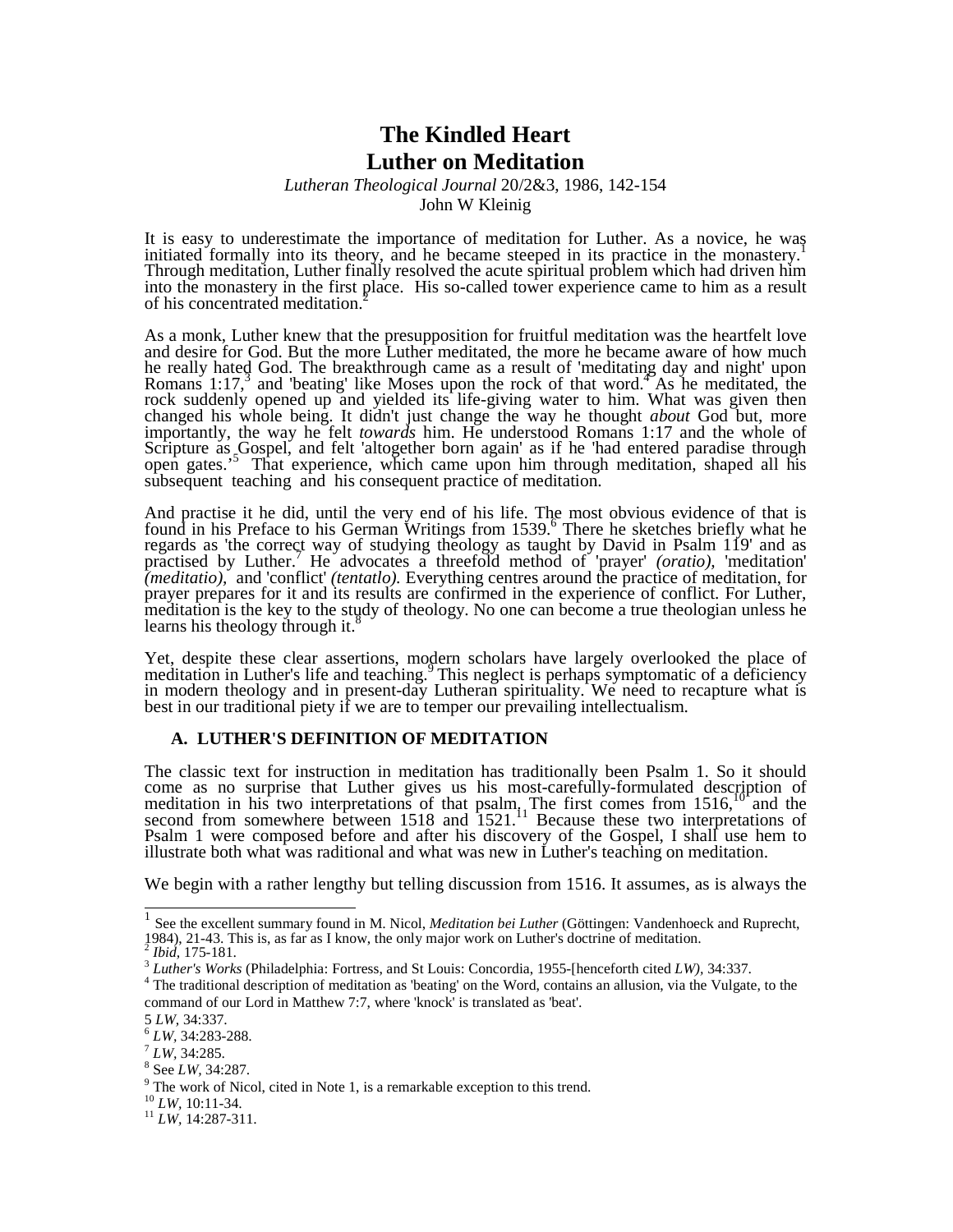# **The Kindled Heart Luther on Meditation**

## *Lutheran Theological Journal* 20/2&3, 1986, 142-154 John W Kleinig

It is easy to underestimate the importance of meditation for Luther. As a novice, he was initiated formally into its theory, and he became steeped in its practice in the monastery.<sup>1</sup> Through meditation, Luther finally resolved the acute spiritual problem which had driven him into the monastery in the first place. His so-called tower experience came to him as a result of his concentrated meditation.<sup>2</sup>

As a monk, Luther knew that the presupposition for fruitful meditation was the heartfelt love and desire for God. But the more Luther meditated, the more he became aware of how much he really hated God. The breakthrough came as a result of 'meditating day and night' upon Romans 1:17,<sup>3</sup> and 'beating' like Moses upon the rock of that word.<sup>4</sup> As he meditated, the rock suddenly opened up and yielded its life-giving water to him. What was given then changed his whole being. It didn't just change the way he thought *about* God but, more importantly, the way he felt *towards* him. He understood Romans 1:17 and the whole of Scripture as Gospel, and felt 'altogether born again' as if he 'had entered paradise through open gates.<sup>55</sup>That experience, which came upon him through meditation, shaped all his subsequent teaching and his consequent practice of meditation.

And practise it he did, until the very end of his life. The most obvious evidence of that is found in his Preface to his German Writings from 1539.<sup>6</sup> There he sketches briefly what he regards as 'the correct way of studying theology as taught by David in Psalm 119' and as practised by Luther.<sup>7</sup>He advocates a threefold method of 'prayer' *(oratio),* 'meditation' *(meditatio),* and 'conflict' *(tentatlo).* Everything centres around the practice of meditation, for prayer prepares for it and its results are confirmed in the experience of conflict. For Luther, meditation is the key to the study of theology. No one can become a true theologian unless he learns his theology through it.<sup>8</sup>

Yet, despite these clear assertions, modern scholars have largely overlooked the place of meditation in Luther's life and teaching.<sup>9</sup>This neglect is perhaps symptomatic of a deficiency in modern theology and in present-day Lutheran spirituality. We need to recapture what is best in our traditional piety if we are to temper our prevailing intellectualism.

### **A. LUTHER'S DEFINITION OF MEDITATION**

The classic text for instruction in meditation has traditionally been Psalm 1. So it should come as no surprise that Luther gives us his most-carefully-formulated description of meditation in his two interpretations of that psalm. The first comes from 1516,<sup>10</sup> and the second from somewhere between 1518 and 1521.<sup>11</sup> Because these two interpretations of Psalm 1 were composed before and after his discovery of the Gospel, I shall use hem to illustrate both what was raditional and what was new in Luther's teaching on meditation.

We begin with a rather lengthy but telling discussion from 1516. It assumes, as is always the

 $\frac{1}{1}$ 1 See the excellent summary found in M. Nicol, *Meditation bei Luther* (Göttingen: Vandenhoeck and Ruprecht, 1984), 21-43. This is, as far as I know, the only major work on Luther's doctrine of meditation.<br>  $\frac{2}{16}$  Ibid. 175, 191

*Ibid,* 175-181.

<sup>3</sup> *Luther's Works* (Philadelphia: Fortress, and St Louis: Concordia, 1955-[henceforth cited *LW),* 34:337.

<sup>&</sup>lt;sup>4</sup> The traditional description of meditation as 'beating' on the Word, contains an allusion, via the Vulgate, to the command of our Lord in Matthew 7:7, where 'knock' is translated as 'beat'.

<sup>5</sup> *LW,* 34:337.

<sup>6</sup> *LW,* 34:283-288.

<sup>7</sup> *LW,* 34:285.

<sup>8</sup> See *LW,* 34:287.

 $9$  The work of Nicol, cited in Note 1, is a remarkable exception to this trend.

<sup>10</sup> *LW,* 10:11-34.

<sup>11</sup> *LW,* 14:287-311.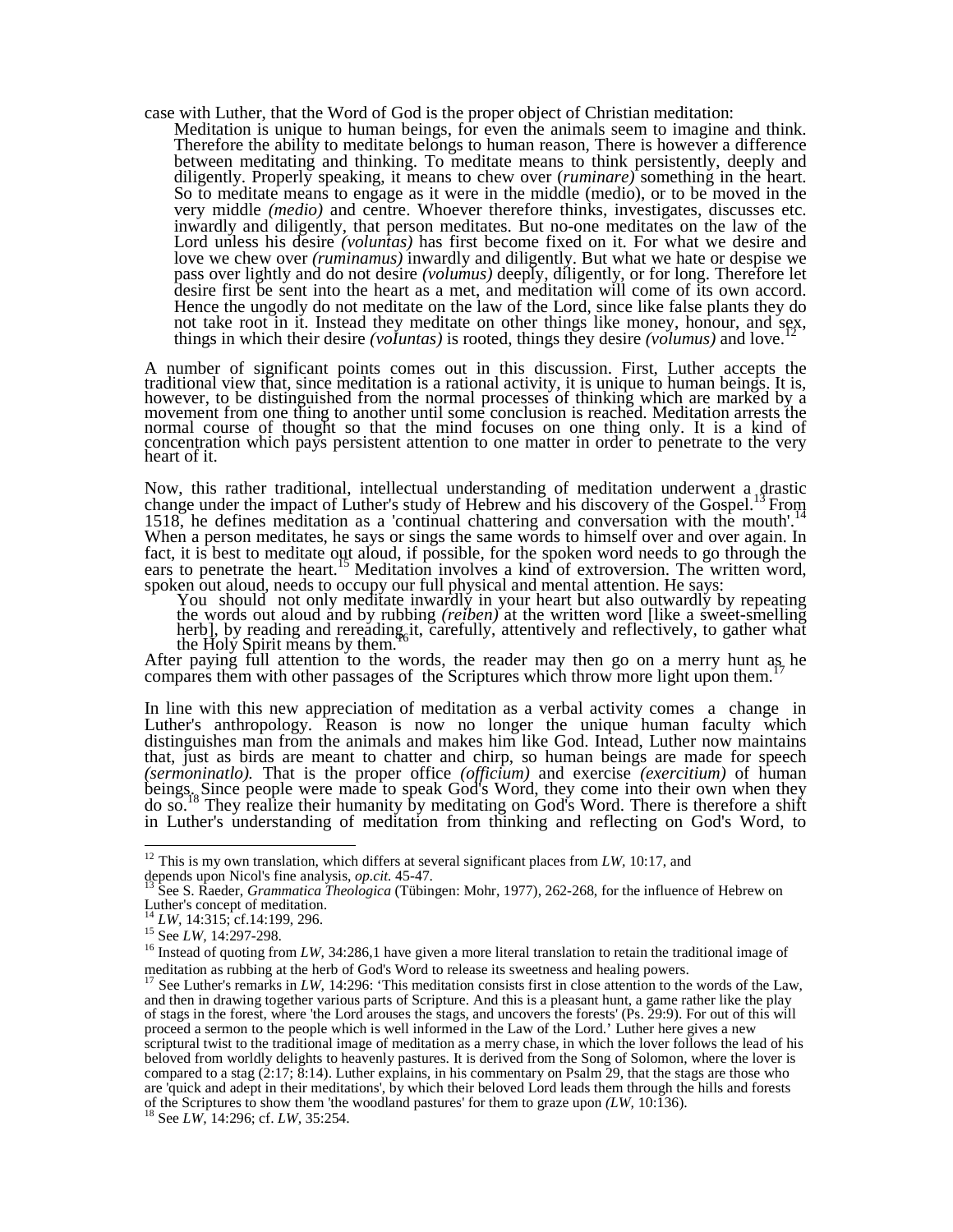- case with Luther, that the Word of God is the proper object of Christian meditation:
	- Meditation is unique to human beings, for even the animals seem to imagine and think. Therefore the ability to meditate belongs to human reason, There is however a difference between meditating and thinking. To meditate means to think persistently, deeply and diligently. Properly speaking, it means to chew over (*ruminare)* something in the heart. So to meditate means to engage as it were in the middle (medio), or to be moved in the very middle *(medio)* and centre. Whoever therefore thinks, investigates, discusses etc. inwardly and diligently, that person meditates. But no-one meditates on the law of the Lord unless his desire *(voluntas)* has first become fixed on it. For what we desire and love we chew over *(ruminamus)* inwardly and diligently. But what we hate or despise we pass over lightly and do not desire *(volumus)* deeply, diligently, or for long. Therefore let desire first be sent into the heart as a met, and meditation will come of its own accord. Hence the ungodly do not meditate on the law of the Lord, since like false plants they do not take root in it. Instead they meditate on other things like money, honour, and sex, things in which their desire *(voIuntas)* is rooted, things they desire *(volumus)* and love.<sup>12</sup>

A number of significant points comes out in this discussion. First, Luther accepts the traditional view that, since meditation is a rational activity, it is unique to human beings. It is, however, to be distinguished from the normal processes of thinking which are marked by a movement from one thing to another until some conclusion is reached. Meditation arrests the normal course of thought so that the mind focuses on one thing only. It is a kind of concentration which pays persistent attention to one matter in order to penetrate to the very heart of it.

Now, this rather traditional, intellectual understanding of meditation underwent a drastic change under the impact of Luther's study of Hebrew and his discovery of the Gospel.<sup>13</sup> From 1518, he defines meditation as a 'continual chattering and conversation with the mouth'.<sup>14</sup> When a person meditates, he says or sings the same words to himself over and over again. In fact, it is best to meditate out aloud, if possible, for the spoken word needs to go through the ears to penetrate the heart.<sup>15</sup> Meditation involves a kind of extroversion. The written word, spoken out aloud, needs to occupy our full physical and mental attention. He says:

You should not only meditate inwardly in your heart but also outwardly by repeating the words out aloud and by rubbing *(reiben)* at the written word [like a sweet-smelling herb], by reading and rereading<sub>6</sub>it, carefully, attentively and reflectively, to gather what the Holy Spirit means by them.

After paying full attention to the words, the reader may then go on a merry hunt as he compares them with other passages of the Scriptures which throw more light upon them.<sup>1</sup>

In line with this new appreciation of meditation as a verbal activity comes a change in Luther's anthropology. Reason is now no longer the unique human faculty which distinguishes man from the animals and makes him like God. Intead, Luther now maintains that, just as birds are meant to chatter and chirp, so human beings are made for speech *(sermoninatlo).* That is the proper office *(officium)* and exercise *(exercitium)* of human beings. Since people were made to speak God's Word, they come into their own when they do so.<sup>18</sup> They realize their humanity by meditating on God's Word. There is therefore a shift in Luther's understanding of meditation from thinking and reflecting on God's Word, to

 $\overline{a}$ 

 $12$  This is my own translation, which differs at several significant places from *LW*, 10:17, and depends upon Nicol's fine analysis, *op.cit.* 45-47.

<sup>13</sup> See S. Raeder, *Grammatica Theologica* (Tübingen: Mohr, 1977), 262-268, for the influence of Hebrew on Luther's concept of meditation.

LW, 14:315; cf.14:199, 296.

<sup>&</sup>lt;sup>15</sup> See *LW*, 14:297-298.

<sup>&</sup>lt;sup>16</sup> Instead of quoting from *LW*, 34:286,1 have given a more literal translation to retain the traditional image of meditation as rubbing at the herb of God's Word to release its sweetness and healing powers.

<sup>&</sup>lt;sup>17</sup> See Luther's remarks in *LW*, 14:296: 'This meditation consists first in close attention to the words of the Law, and then in drawing together various parts of Scripture. And this is a pleasant hunt, a game rather like the play of stags in the forest, where 'the Lord arouses the stags, and uncovers the forests' (Ps. 29:9). For out of this will proceed a sermon to the people which is well informed in the Law of the Lord.' Luther here gives a new scriptural twist to the traditional image of meditation as a merry chase, in which the lover follows the lead of his beloved from worldly delights to heavenly pastures. It is derived from the Song of Solomon, where the lover is compared to a stag  $(2:17; \& 14)$ . Luther explains, in his commentary on Psalm 29, that the stags are those who are 'quick and adept in their meditations', by which their beloved Lord leads them through the hills and forests of the Scriptures to show them 'the woodland pastures' for them to graze upon *(LW,* 10:136).

<sup>18</sup> See *LW,* 14:296; cf. *LW,* 35:254.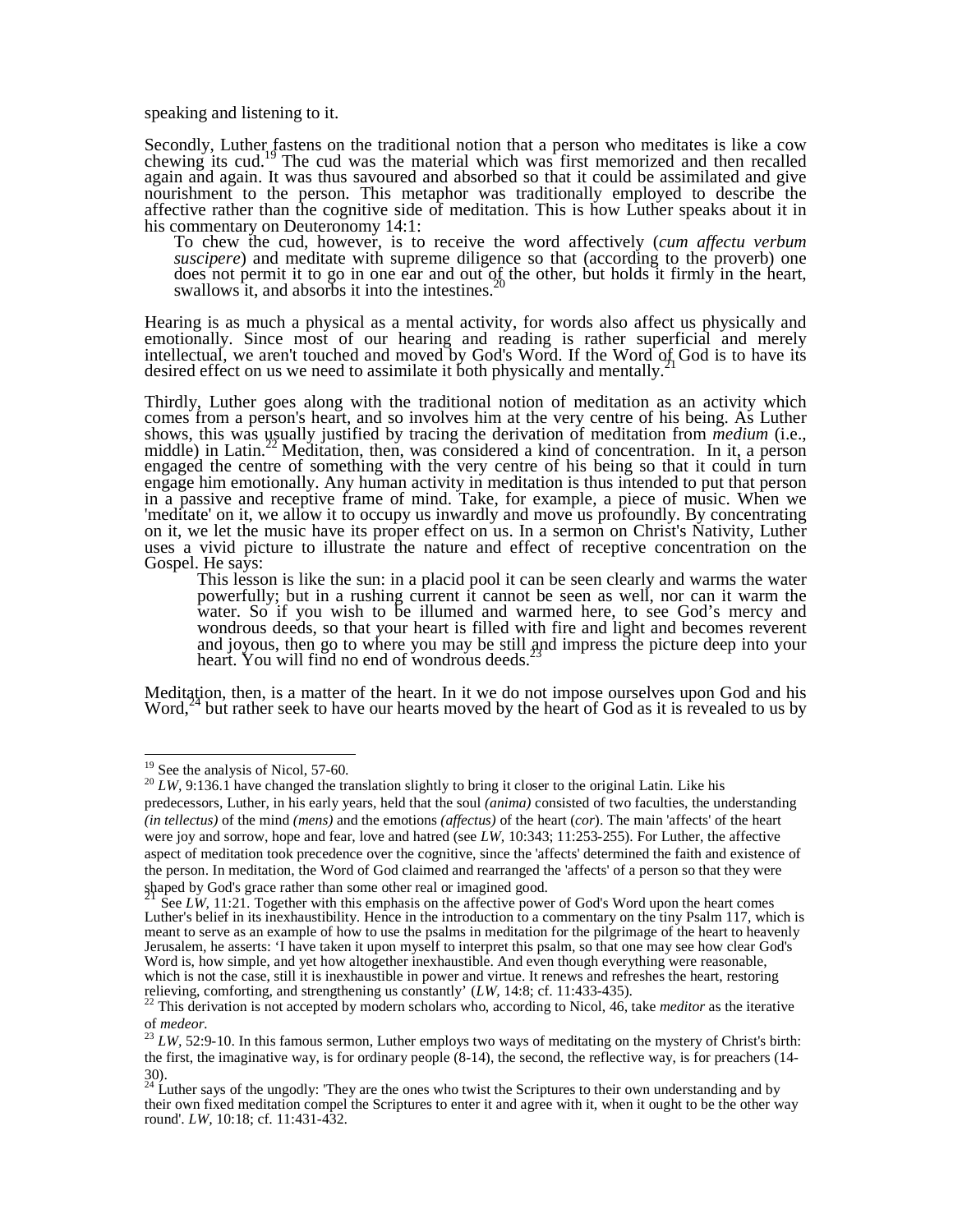speaking and listening to it.

Secondly, Luther fastens on the traditional notion that a person who meditates is like a cow chewing its cud.<sup>19</sup>The cud was the material which was first memorized and then recalled again and again. It was thus savoured and absorbed so that it could be assimilated and give nourishment to the person. This metaphor was traditionally employed to describe the affective rather than the cognitive side of meditation. This is how Luther speaks about it in his commentary on Deuteronomy 14:1:

To chew the cud, however, is to receive the word affectively (*cum affectu verbum suscipere*) and meditate with supreme diligence so that (according to the proverb) one does not permit it to go in one ear and out of the other, but holds it firmly in the heart, swallows it, and absorbs it into the intestines.

Hearing is as much a physical as a mental activity, for words also affect us physically and emotionally. Since most of our hearing and reading is rather superficial and merely intellectual, we aren't touched and moved by God's Word. If the Word of God is to have its desired effect on us we need to assimilate it both physically and mentally.

Thirdly, Luther goes along with the traditional notion of meditation as an activity which comes from a person's heart, and so involves him at the very centre of his being. As Luther shows, this was usually justified by tracing the derivation of meditation from *medium* (i.e., middle) in Latin.<sup>22</sup> Meditation, then, was considered a kind of concentration. In it, a person engaged the centre of something with the very centre of his being so that it could in turn engage him emotionally. Any human activity in meditation is thus intended to put that person in a passive and receptive frame of mind. Take, for example, a piece of music. When we 'meditate' on it, we allow it to occupy us inwardly and move us profoundly. By concentrating on it, we let the music have its proper effect on us. In a sermon on Christ's Nativity, Luther uses a vivid picture to illustrate the nature and effect of receptive concentration on the Gospel. He says:

This lesson is like the sun: in a placid pool it can be seen clearly and warms the water powerfully; but in a rushing current it cannot be seen as well, nor can it warm the water. So if you wish to be illumed and warmed here, to see God's mercy and wondrous deeds, so that your heart is filled with fire and light and becomes reverent and joyous, then go to where you may be still and impress the picture deep into your heart. You will find no end of wondrous deeds.<sup>2</sup>

Meditation, then, is a matter of the heart. In it we do not impose ourselves upon God and his Word,<sup>24</sup> but rather seek to have our hearts moved by the heart of God as it is revealed to us by

 $\overline{a}$ 

<sup>&</sup>lt;sup>19</sup> See the analysis of Nicol, 57-60.

<sup>&</sup>lt;sup>20</sup> *LW*, 9:136.1 have changed the translation slightly to bring it closer to the original Latin. Like his predecessors, Luther, in his early years, held that the soul *(anima)* consisted of two faculties, the understanding *(in tellectus)* of the mind *(mens)* and the emotions *(affectus)* of the heart (*cor*). The main 'affects' of the heart were joy and sorrow, hope and fear, love and hatred (see *LW,* 10:343; 11:253-255). For Luther, the affective aspect of meditation took precedence over the cognitive, since the 'affects' determined the faith and existence of the person. In meditation, the Word of God claimed and rearranged the 'affects' of a person so that they were spaped by God's grace rather than some other real or imagined good.

See *LW*, 11:21. Together with this emphasis on the affective power of God's Word upon the heart comes Luther's belief in its inexhaustibility. Hence in the introduction to a commentary on the tiny Psalm 117, which is meant to serve as an example of how to use the psalms in meditation for the pilgrimage of the heart to heavenly Jerusalem, he asserts: 'I have taken it upon myself to interpret this psalm, so that one may see how clear God's Word is, how simple, and yet how altogether inexhaustible. And even though everything were reasonable, which is not the case, still it is inexhaustible in power and virtue. It renews and refreshes the heart, restoring relieving, comforting, and strengthening us constantly' (*LW,* 14:8; cf. 11:433-435).

<sup>22</sup> This derivation is not accepted by modern scholars who, according to Nicol, 46, take *meditor* as the iterative of *medeor.*

<sup>&</sup>lt;sup>23</sup> *LW*, 52:9-10. In this famous sermon, Luther employs two ways of meditating on the mystery of Christ's birth: the first, the imaginative way, is for ordinary people (8-14), the second, the reflective way, is for preachers (14- 30).

 $24$  Luther says of the ungodly: 'They are the ones who twist the Scriptures to their own understanding and by their own fixed meditation compel the Scriptures to enter it and agree with it, when it ought to be the other way round'. *LW,* 10:18; cf. 11:431-432.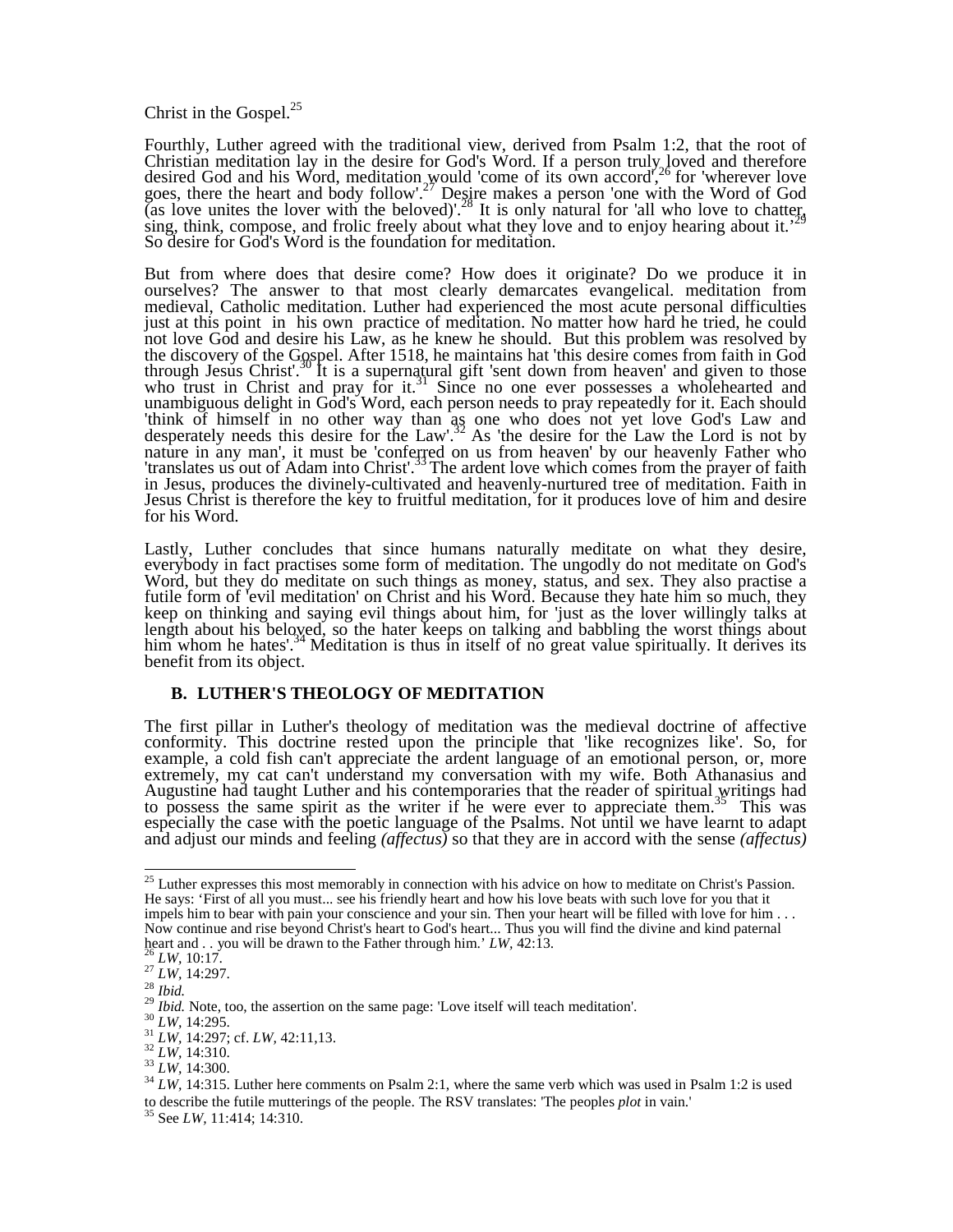Christ in the Gospel.<sup>25</sup>

Fourthly, Luther agreed with the traditional view, derived from Psalm 1:2, that the root of Christian meditation lay in the desire for God's Word. If a person truly, loved and therefore desired God and his Word, meditation would 'come of its own accord',<sup>26</sup> for 'wherever love goes, there the heart and body follow'.<sup>27</sup> Desire makes a person 'one with the Word of God (as love unites the lover with the beloved)'.<sup>28</sup> It is only natural for 'all who love to chatter, sing, think, compose, and frolic freely about what they love and to enjoy hearing about it.' So desire for God's Word is the foundation for meditation.

But from where does that desire come? How does it originate? Do we produce it in ourselves? The answer to that most clearly demarcates evangelical. meditation from medieval, Catholic meditation. Luther had experienced the most acute personal difficulties just at this point in his own practice of meditation. No matter how hard he tried, he could not love God and desire his Law, as he knew he should. But this problem was resolved by the discovery of the Gospel. After 1518, he maintains hat 'this desire comes from faith in God through Jesus Christ'.<sup>30</sup> It is a supernatural gift 'sent down from heaven' and given to those who trust in Christ and pray for it.<sup>31</sup> Since no one ever possesses a wholehearted and unambiguous delight in God's Word, each person needs to pray repeatedly for it. Each should 'think of himself in no other way than as one who does not yet love God's Law and desperately needs this desire for the Law'.<sup>32</sup> As 'the desire for the Law the Lord is not by nature in any man', it must be 'conferred on us from heaven' by our heavenly Father who 'translates us out of Adam into Christ'.<sup>33</sup>The ardent love which comes from the prayer of faith in Jesus, produces the divinely-cultivated and heavenly-nurtured tree of meditation. Faith in Jesus Christ is therefore the key to fruitful meditation, for it produces love of him and desire for his Word.

Lastly, Luther concludes that since humans naturally meditate on what they desire, everybody in fact practises some form of meditation. The ungodly do not meditate on God's Word, but they do meditate on such things as money, status, and sex. They also practise a futile form of 'evil meditation' on Christ and his Word. Because they hate him so much, they keep on thinking and saying evil things about him, for 'just as the lover willingly talks at length about his beloyed, so the hater keeps on talking and babbling the worst things about him whom he hates'.<sup>34</sup> Meditation is thus in itself of no great value spiritually. It derives its benefit from its object.

### **B. LUTHER'S THEOLOGY OF MEDITATION**

The first pillar in Luther's theology of meditation was the medieval doctrine of affective conformity. This doctrine rested upon the principle that 'like recognizes like'. So, for example, a cold fish can't appreciate the ardent language of an emotional person, or, more extremely, my cat can't understand my conversation with my wife. Both Athanasius and Augustine had taught Luther and his contemporaries that the reader of spiritual writings had to possess the same spirit as the writer if he were ever to appreciate them.<sup>35</sup>This was especially the case with the poetic language of the Psalms. Not until we have learnt to adapt and adjust our minds and feeling *(affectus)* so that they are in accord with the sense *(affectus)* 

 $\overline{a}$ <sup>25</sup> Luther expresses this most memorably in connection with his advice on how to meditate on Christ's Passion. He says: 'First of all you must... see his friendly heart and how his love beats with such love for you that it impels him to bear with pain your conscience and your sin. Then your heart will be filled with love for him . . . Now continue and rise beyond Christ's heart to God's heart... Thus you will find the divine and kind paternal heart and . . you will be drawn to the Father through him.' *LW,* 42:13.

 $LK$ , 10:17.

<sup>27</sup> *LW,* 14:297.

<sup>28</sup> *Ibid.*

<sup>&</sup>lt;sup>29</sup> *Ibid.* Note, too, the assertion on the same page: 'Love itself will teach meditation'.

<sup>30</sup> *LW,* 14:295.

<sup>31</sup> *LW,* 14:297; cf. *LW,* 42:11,13.

<sup>32</sup> *LW,* 14:310.

<sup>33</sup> *LW,* 14:300.

<sup>&</sup>lt;sup>34</sup> *LW*, 14:315. Luther here comments on Psalm 2:1, where the same verb which was used in Psalm 1:2 is used to describe the futile mutterings of the people. The RSV translates: 'The peoples *plot* in vain.'

<sup>35</sup> See *LW,* 11:414; 14:310.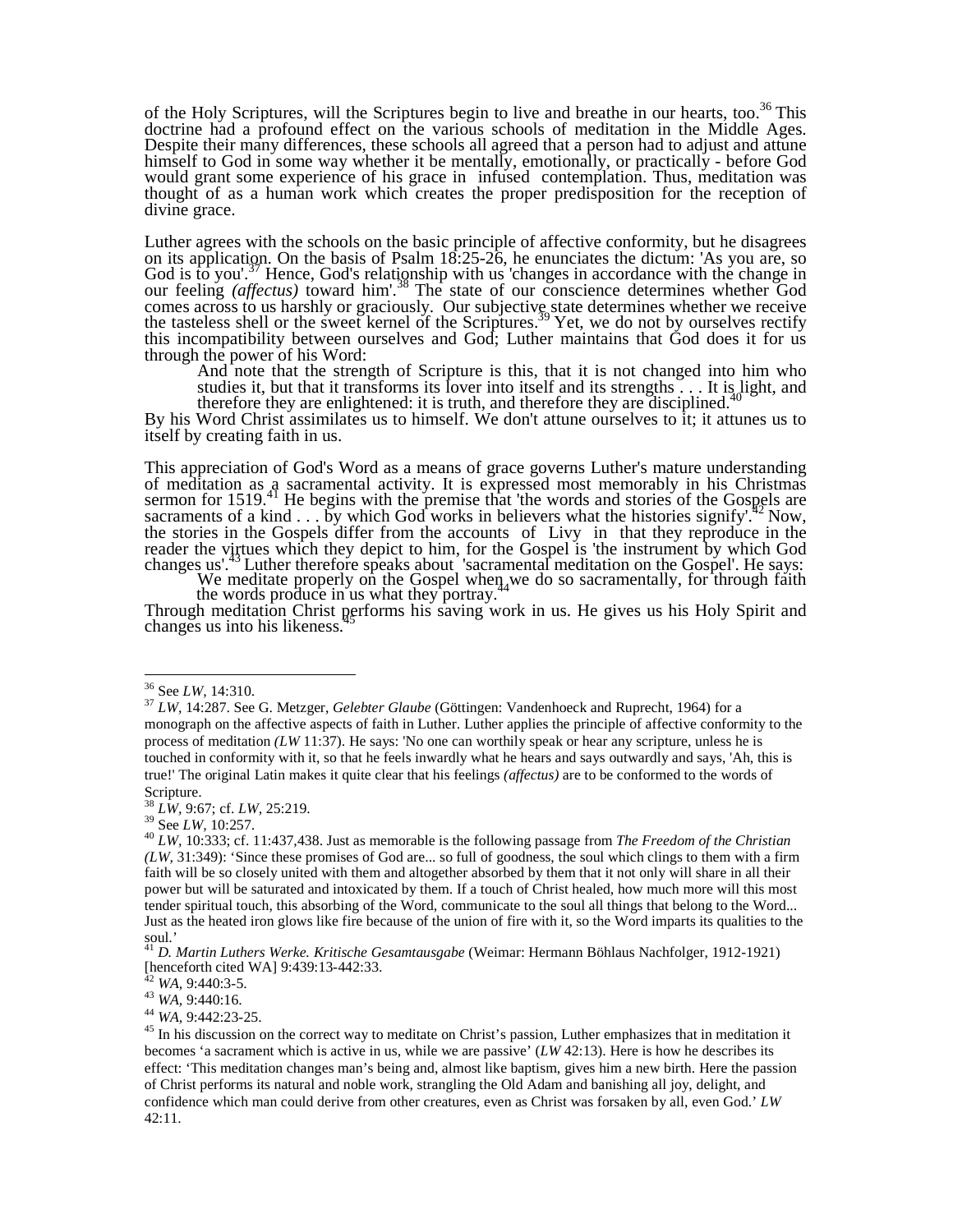of the Holy Scriptures, will the Scriptures begin to live and breathe in our hearts, too.<sup>36</sup> This doctrine had a profound effect on the various schools of meditation in the Middle Ages. Despite their many differences, these schools all agreed that a person had to adjust and attune himself to God in some way whether it be mentally, emotionally, or practically - before God would grant some experience of his grace in infused contemplation. Thus, meditation was thought of as a human work which creates the proper predisposition for the reception of divine grace.

Luther agrees with the schools on the basic principle of affective conformity, but he disagrees on its application. On the basis of Psalm 18:25-26, he enunciates the dictum: 'As you are, so God is to you'.<sup>37</sup> Hence, God's relationship with us 'changes in accordance with the change in our feeling *(affectus)* toward him'.<sup>38</sup> The state of our conscience determines whether God comes across to us harshly or graciously. Our subjective state determines whether we receive the tasteless shell or the sweet kernel of the Scriptures.<sup>39</sup> Yet, we do not by ourselves rectify this incompatibility between ourselves and God; Luther maintains that God does it for us through the power of his Word:

And note that the strength of Scripture is this, that it is not changed into him who studies it, but that it transforms its lover into itself and its strengths  $\ldots$  It is light, and therefore they are enlightened: it is truth, and therefore they are disciplined.<sup>40</sup>

By his Word Christ assimilates us to himself. We don't attune ourselves to it; it attunes us to itself by creating faith in us.

This appreciation of God's Word as a means of grace governs Luther's mature understanding of meditation as  $\alpha$  sacramental activity. It is expressed most memorably in his Christmas sermon for 1519.<sup>41</sup> He begins with the premise that 'the words and stories of the Gospels are sacraments of a kind  $\ldots$  by which God works in believers what the histories signify'.<sup>42</sup>Now, the stories in the Gospels differ from the accounts of Livy in that they reproduce in the reader the virtues which they depict to him, for the Gospel is 'the instrument by which God changes us'.<sup>43</sup>Luther therefore speaks about 'sacramental meditation on the Gospel'. He says:

We meditate properly on the Gospel when  $44$  we do so sacramentally, for through faith the words produce in us what they portray.<sup>44</sup>

Through meditation Christ performs his saving work in us. He gives us his Holy Spirit and changes us into his likeness.<sup>7</sup>

 $\ddot{\phantom{a}}$ 

<sup>38</sup> *LW,* 9:67; cf. *LW,* 25:219.

<sup>39</sup> See *LW,* 10:257.

<sup>44</sup> *WA,* 9:442:23-25.

<sup>36</sup> See *LW,* 14:310.

<sup>37</sup> *LW,* 14:287. See G. Metzger, *Gelebter Glaube* (Göttingen: Vandenhoeck and Ruprecht, 1964) for a monograph on the affective aspects of faith in Luther. Luther applies the principle of affective conformity to the process of meditation *(LW* 11:37). He says: 'No one can worthily speak or hear any scripture, unless he is touched in conformity with it, so that he feels inwardly what he hears and says outwardly and says, 'Ah, this is true!' The original Latin makes it quite clear that his feelings *(affectus)* are to be conformed to the words of Scripture.

<sup>40</sup> *LW,* 10:333; cf. 11:437,438. Just as memorable is the following passage from *The Freedom of the Christian (LW,* 31:349): 'Since these promises of God are... so full of goodness, the soul which clings to them with a firm faith will be so closely united with them and altogether absorbed by them that it not only will share in all their power but will be saturated and intoxicated by them. If a touch of Christ healed, how much more will this most tender spiritual touch, this absorbing of the Word, communicate to the soul all things that belong to the Word... Just as the heated iron glows like fire because of the union of fire with it, so the Word imparts its qualities to the soul.'

<sup>41</sup> *D. Martin Luthers Werke. Kritische Gesamtausgabe* (Weimar: Hermann Böhlaus Nachfolger, 1912-1921) [henceforth cited WA] 9:439:13-442:33.

<sup>42</sup> *WA,* 9:440:3-5.

<sup>43</sup> *WA,* 9:440:16.

<sup>&</sup>lt;sup>45</sup> In his discussion on the correct way to meditate on Christ's passion, Luther emphasizes that in meditation it becomes 'a sacrament which is active in us, while we are passive' (*LW* 42:13). Here is how he describes its effect: 'This meditation changes man's being and, almost like baptism, gives him a new birth. Here the passion of Christ performs its natural and noble work, strangling the Old Adam and banishing all joy, delight, and confidence which man could derive from other creatures, even as Christ was forsaken by all, even God.' *LW*  42:11.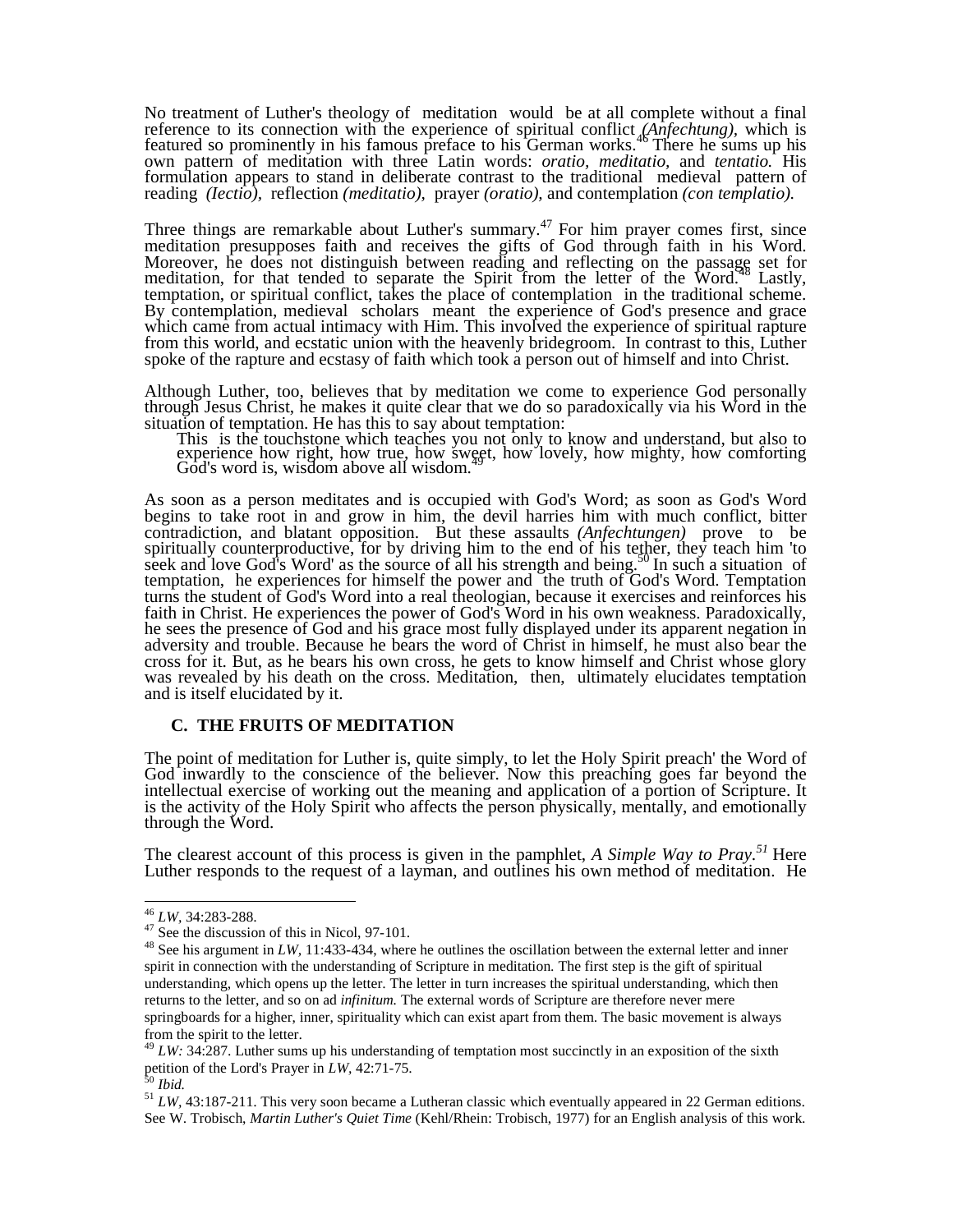No treatment of Luther's theology of meditation would be at all complete without a final reference to its connection with the experience of spiritual conflict *(Anfechtung)*, which is featured so prominently in his famous preface to his German works.<sup>46</sup> There he sums up his own pattern of meditation with three Latin words: *oratio, meditatio,* and *tentatio.* His formulation appears to stand in deliberate contrast to the traditional medieval pattern of reading *(Iectio),* reflection *(meditatio),* prayer *(oratio),* and contemplation *(con templatio).* 

Three things are remarkable about Luther's summary.<sup>47</sup> For him prayer comes first, since meditation presupposes faith and receives the gifts of God through faith in his Word. Moreover, he does not distinguish between reading and reflecting on the passage set for meditation, for that tended to separate the Spirit from the letter of the Word.<sup>48</sup> Lastly, temptation, or spiritual conflict, takes the place of contemplation in the traditional scheme. By contemplation, medieval scholars meant the experience of God's presence and grace which came from actual intimacy with Him. This involved the experience of spiritual rapture from this world, and ecstatic union with the heavenly bridegroom. In contrast to this, Luther spoke of the rapture and ecstasy of faith which took a person out of himself and into Christ.

Although Luther, too, believes that by meditation we come to experience God personally through Jesus Christ, he makes it quite clear that we do so paradoxically via his Word in the situation of temptation. He has this to say about temptation:

This is the touchstone which teaches you not only to know and understand, but also to experience how right, how true, how sweet, how lovely, how mighty, how comforting God's word is, wisdom above all wisdom.<sup>49</sup>

As soon as a person meditates and is occupied with God's Word; as soon as God's Word begins to take root in and grow in him, the devil harries him with much conflict, bitter contradiction, and blatant opposition. But these assaults *(Anfechtungen)* prove to be spiritually counterproductive, for by driving him to the end of his tether, they teach him 'to seek and love God's Word' as the source of all his strength and being.<sup>50</sup>In such a situation of temptation, he experiences for himself the power and the truth of God's Word. Temptation turns the student of God's Word into a real theologian, because it exercises and reinforces his faith in Christ. He experiences the power of God's Word in his own weakness. Paradoxically, he sees the presence of God and his grace most fully displayed under its apparent negation in adversity and trouble. Because he bears the word of Christ in himself, he must also bear the cross for it. But, as he bears his own cross, he gets to know himself and Christ whose glory was revealed by his death on the cross. Meditation, then, ultimately elucidates temptation and is itself elucidated by it.

#### **C. THE FRUITS OF MEDITATION**

The point of meditation for Luther is, quite simply, to let the Holy Spirit preach' the Word of God inwardly to the conscience of the believer. Now this preaching goes far beyond the intellectual exercise of working out the meaning and application of a portion of Scripture. It is the activity of the Holy Spirit who affects the person physically, mentally, and emotionally through the Word.

The clearest account of this process is given in the pamphlet, *A Simple Way to Pray*.<sup>51</sup> Here Luther responds to the request of a layman, and outlines his own method of meditation. He

 $\overline{a}$ <sup>46</sup> *LW,* 34:283-288.

 $47 \text{ See the discussion of this in Nicol, } 97-101.$ 

<sup>&</sup>lt;sup>48</sup> See his argument in *LW*, 11:433-434, where he outlines the oscillation between the external letter and inner spirit in connection with the understanding of Scripture in meditation. The first step is the gift of spiritual understanding, which opens up the letter. The letter in turn increases the spiritual understanding, which then returns to the letter, and so on ad *infinitum.* The external words of Scripture are therefore never mere springboards for a higher, inner, spirituality which can exist apart from them. The basic movement is always from the spirit to the letter.

<sup>&</sup>lt;sup>49</sup> *LW*: 34:287. Luther sums up his understanding of temptation most succinctly in an exposition of the sixth petition of the Lord's Prayer in *LW,* 42:71-75.

<sup>50</sup> *Ibid.*

<sup>&</sup>lt;sup>51</sup> *LW*, 43:187-211. This very soon became a Lutheran classic which eventually appeared in 22 German editions. See W. Trobisch, *Martin Luther's Quiet Time* (Kehl/Rhein: Trobisch, 1977) for an English analysis of this work.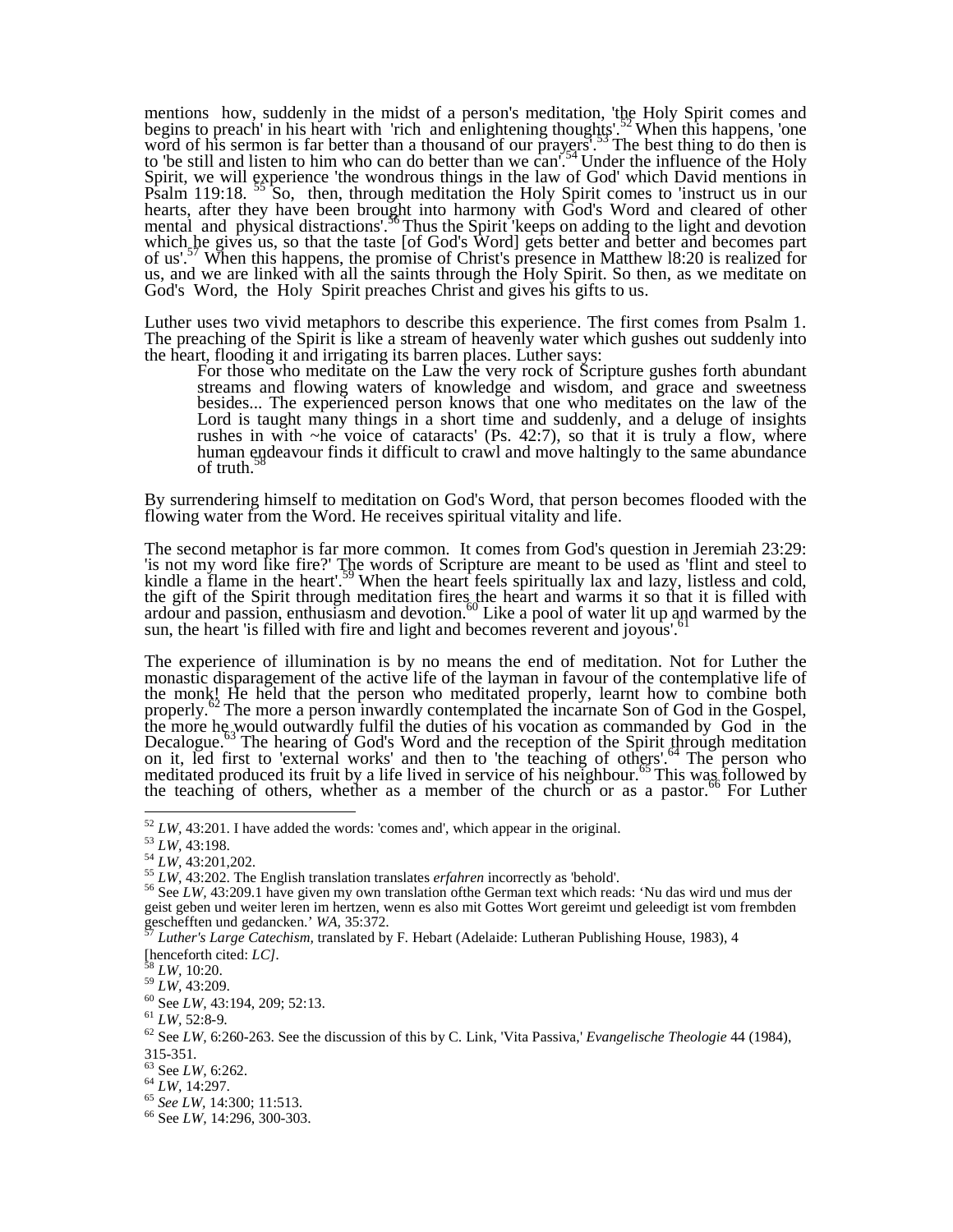mentions how, suddenly in the midst of a person's meditation, 'the Holy Spirit comes and begins to preach' in his heart with 'rich and enlightening thoughts'.<sup>52</sup>When this happens, 'one word of his sermon is far better than a thousand of our prayers'.<sup>33</sup>The best thing to do then is to "be still and listen to him who can do better than we can'.<sup>54</sup>Under the influence of the Holy Spirit, we will experience 'the wondrous things in the law of God' which David mentions in Psalm 119:18. <sup>55</sup> So, then, through meditation the Holy Spirit comes to 'instruct us in our hearts, after they have been brought into harmony with God's Word and cleared of other mental and physical distractions'.<sup>56</sup>Thus the Spirit 'keeps on adding to the light and devotion which he gives us, so that the taste [of God's Word] gets better and better and becomes part of us'.<sup>57</sup> When this happens, the promise of Christ's presence in Matthew 18:20 is realized for us, and we are linked with all the saints through the Holy Spirit. So then, as we meditate on God's Word, the Holy Spirit preaches Christ and gives his gifts to us.

Luther uses two vivid metaphors to describe this experience. The first comes from Psalm 1. The preaching of the Spirit is like a stream of heavenly water which gushes out suddenly into the heart, flooding it and irrigating its barren places. Luther says:

For those who meditate on the Law the very rock of Scripture gushes forth abundant streams and flowing waters of knowledge and wisdom, and grace and sweetness besides... The experienced person knows that one who meditates on the law of the Lord is taught many things in a short time and suddenly, and a deluge of insights rushes in with ~he voice of cataracts' (Ps. 42:7), so that it is truly a flow, where human endeavour finds it difficult to crawl and move haltingly to the same abundance of truth.

By surrendering himself to meditation on God's Word, that person becomes flooded with the flowing water from the Word. He receives spiritual vitality and life.

The second metaphor is far more common. It comes from God's question in Jeremiah 23:29: 'is not my word like fire?' The words of Scripture are meant to be used as 'flint and steel to kindle a flame in the heart<sup>'.59</sup> When the heart feels spiritually lax and lazy, listless and cold, the gift of the Spirit through meditation fires the heart and warms it so that it is filled with ardour and passion, enthusiasm and devotion.<sup>60</sup> Like a pool of water lit up and warmed by the sun, the heart 'is filled with fire and light and becomes reverent and joyous'.<sup>61</sup>

The experience of illumination is by no means the end of meditation. Not for Luther the monastic disparagement of the active life of the layman in favour of the contemplative life of the monk! He held that the person who meditated properly, learnt how to combine both properly.<sup>62</sup> The more a person inwardly contemplated the incarnate Son of God in the Gospel, the more he would outwardly fulfil the duties of his vocation as commanded by God in the Decalogue.<sup>63</sup> The hearing of God's Word and the reception of the Spirit through meditation on it, led first to 'external works' and then to 'the teaching of others'.<sup>64</sup> The person who meditated produced its fruit by a life lived in service of his neighbour.<sup>65</sup>This was followed by the teaching of others, whether as a member of the church or as a pastor.<sup>66</sup> For Luther

<sup>63</sup> See *LW,* 6:262.

<sup>52</sup> *LW,* 43:201. I have added the words: 'comes and', which appear in the original.

<sup>53</sup> *LW,* 43:198.

<sup>54</sup> *LW,* 43:201,202.

<sup>55</sup> *LW,* 43:202. The English translation translates *erfahren* incorrectly as 'behold'.

<sup>56</sup> See *LW,* 43:209.1 have given my own translation ofthe German text which reads: 'Nu das wird und mus der geist geben und weiter leren im hertzen, wenn es also mit Gottes Wort gereimt und geleedigt ist vom frembden geschefften und gedancken.' *WA,* 35:372.

<sup>57</sup> *Luther's Large Catechism,* translated by F. Hebart (Adelaide: Lutheran Publishing House, 1983), 4 [henceforth cited: *LC].*

<sup>58</sup> *LW,* 10:20.

<sup>59</sup> *LW,* 43:209.

<sup>60</sup> See *LW,* 43:194, 209; 52:13.

<sup>61</sup> *LW,* 52:8-9.

<sup>62</sup> See *LW,* 6:260-263. See the discussion of this by C. Link, 'Vita Passiva,' *Evangelische Theologie* 44 (1984), 315-351.

<sup>64</sup> *LW,* 14:297.

<sup>65</sup> *See LW,* 14:300; 11:513.

<sup>66</sup> See *LW,* 14:296, 300-303.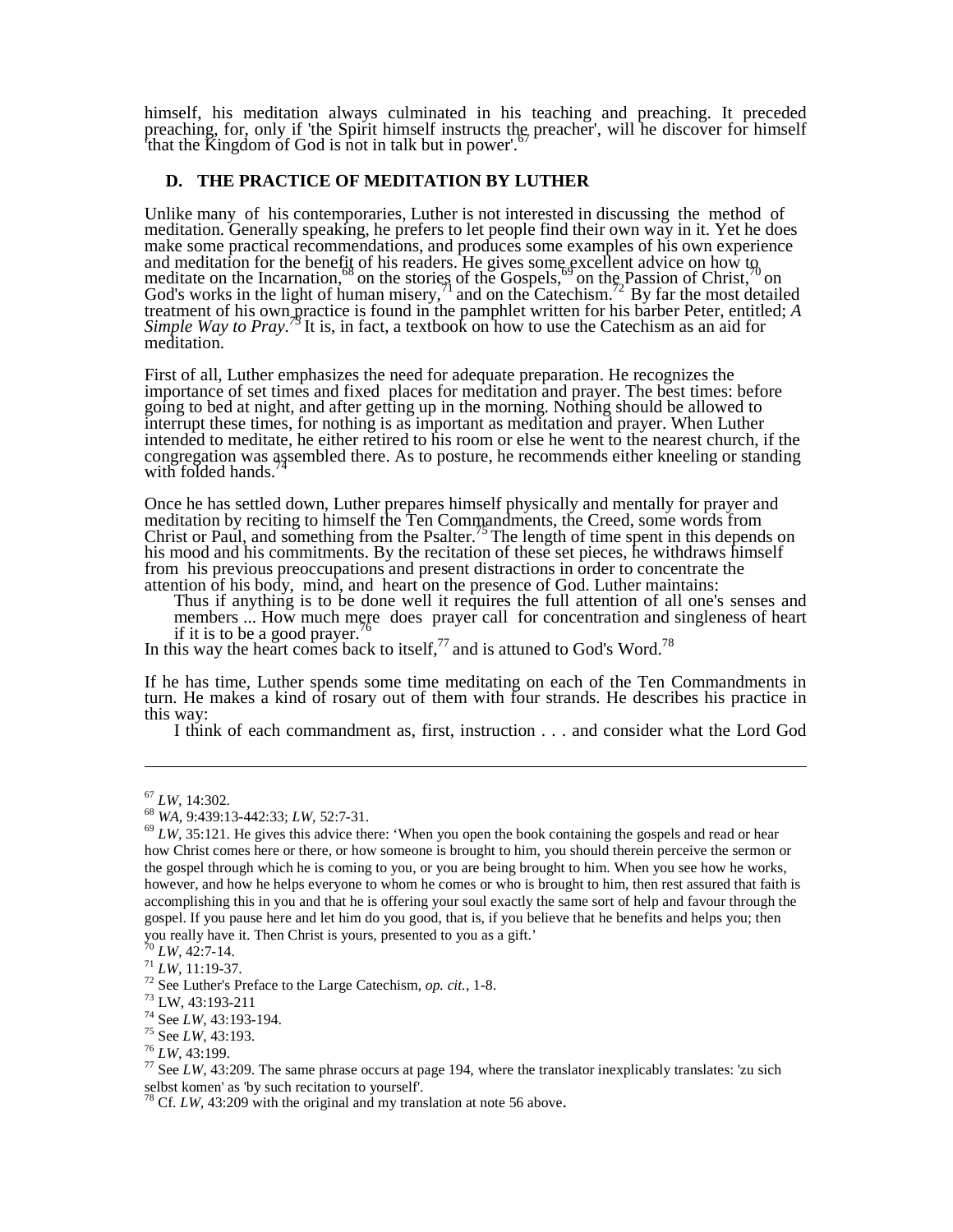himself, his meditation always culminated in his teaching and preaching. It preceded preaching, for, only if 'the Spirit himself instructs the preacher', will he discover for himself that the Kingdom of God is not in talk but in power'.

## **D. THE PRACTICE OF MEDITATION BY LUTHER**

Unlike many of his contemporaries, Luther is not interested in discussing the method of meditation. Generally speaking, he prefers to let people find their own way in it. Yet he does make some practical recommendations, and produces some examples of his own experience and meditation for the benefit of his readers. He gives some excellent advice on how to meditate on the Incarnation,<sup>68</sup> on the stories of the Gospels,<sup>69</sup> on the Passion of Christ,<sup>70</sup> on God's works in the light of human misery,<sup>71</sup> and on the Catechism.<sup>72</sup> By far the most detailed treatment of his own practice is found in the pamphlet written for his barber Peter, entitled; *A Simple Way to Pray.<sup>73</sup>*It is, in fact, a textbook on how to use the Catechism as an aid for meditation.

First of all, Luther emphasizes the need for adequate preparation. He recognizes the importance of set times and fixed places for meditation and prayer. The best times: before going to bed at night, and after getting up in the morning. Nothing should be allowed to interrupt these times, for nothing is as important as meditation and prayer. When Luther intended to meditate, he either retired to his room or else he went to the nearest church, if the congregation was assembled there. As to posture, he recommends either kneeling or standing with folded hands.

Once he has settled down, Luther prepares himself physically and mentally for prayer and meditation by reciting to himself the Ten Commandments, the Creed, some words from Christ or Paul, and something from the Psalter.<sup>75</sup>The length of time spent in this depends on his mood and his commitments. By the recitation of these set pieces, he withdraws himself from his previous preoccupations and present distractions in order to concentrate the attention of his body, mind, and heart on the presence of God. Luther maintains:

Thus if anything is to be done well it requires the full attention of all one's senses and members ... How much mere does prayer call for concentration and singleness of heart if it is to be a good prayer.<sup>76</sup>

In this way the heart comes back to itself,  $\frac{7}{7}$  and is attuned to God's Word.<sup>78</sup>

If he has time, Luther spends some time meditating on each of the Ten Commandments in turn. He makes a kind of rosary out of them with four strands. He describes his practice in this way:

I think of each commandment as, first, instruction . . . and consider what the Lord God

 $\overline{a}$ 

<sup>67</sup> *LW,* 14:302.

<sup>68</sup> *WA,* 9:439:13-442:33; *LW,* 52:7-31.

 $69$  *LW*, 35:121. He gives this advice there: 'When you open the book containing the gospels and read or hear how Christ comes here or there, or how someone is brought to him, you should therein perceive the sermon or the gospel through which he is coming to you, or you are being brought to him. When you see how he works, however, and how he helps everyone to whom he comes or who is brought to him, then rest assured that faith is accomplishing this in you and that he is offering your soul exactly the same sort of help and favour through the gospel. If you pause here and let him do you good, that is, if you believe that he benefits and helps you; then you really have it. Then Christ is yours, presented to you as a gift.'

 $70$  *LW*, 42:7-14.

<sup>71</sup> *LW,* 11:19-37.

<sup>72</sup> See Luther's Preface to the Large Catechism, *op. cit.,* 1-8.

<sup>73</sup> LW, 43:193-211

<sup>74</sup> See *LW,* 43:193-194.

<sup>75</sup> See *LW,* 43:193.

<sup>76</sup> *LW,* 43:199.

 $77$  See *LW*, 43:209. The same phrase occurs at page 194, where the translator inexplicably translates: 'zu sich selbst komen' as 'by such recitation to yourself'.

Cf. *LW*, 43:209 with the original and my translation at note 56 above.